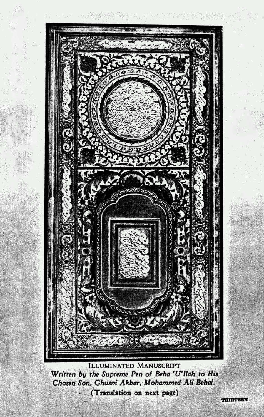

## ILLUMINATED MANUSCRIPT Written by the Supreme Pen of Beha 'U'llah to His Chosen Son, Ghusni Akbar, Mohammed Ali Behai. (Translation on next page)

THIRTYSEA